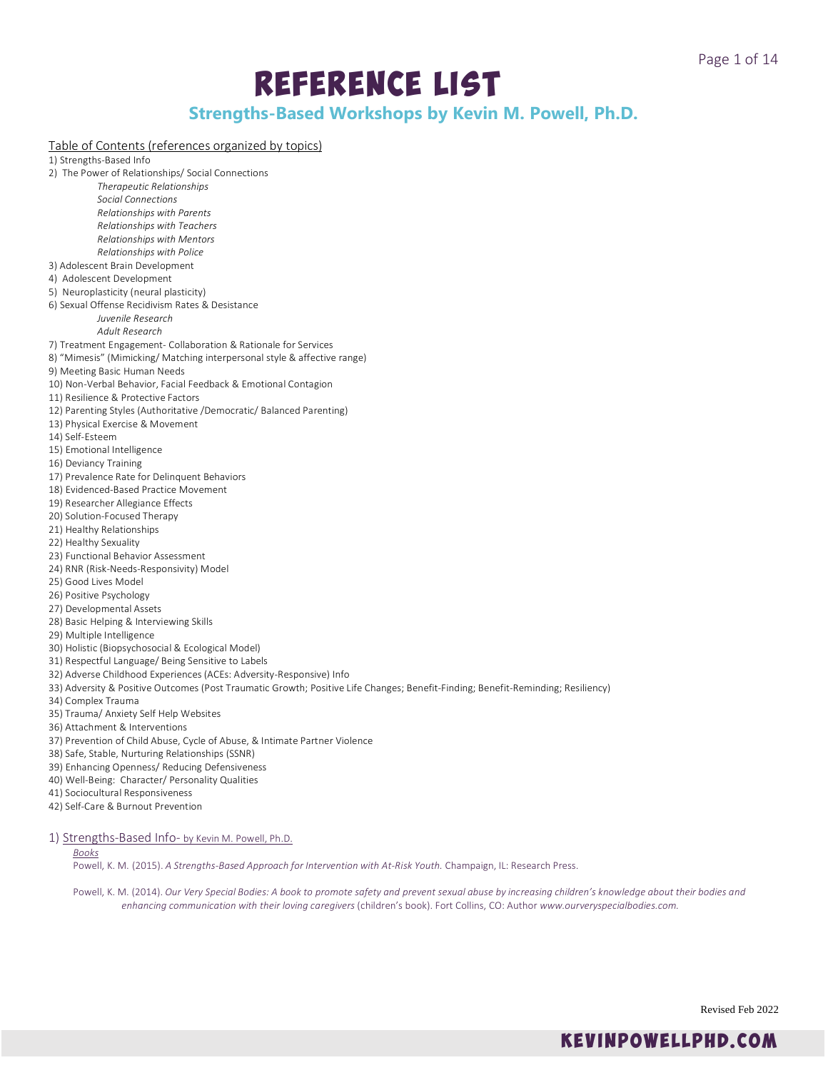# Reference List

# **Strengths-Based Workshops by Kevin M. Powell, Ph.D.**

# Table of Contents (references organized by topics)

1) Strengths-Based Info

- 2) The Power of Relationships/ Social Connections
	- *Therapeutic Relationships Social Connections Relationships with Parents Relationships with Teachers*
	- *Relationships with Mentors Relationships with Police*
- 3) Adolescent Brain Development
- 4) Adolescent Development
- 5) Neuroplasticity (neural plasticity)
- 6) Sexual Offense Recidivism Rates & Desistance
	- *Juvenile Research*

# *Adult Research*

- 7) Treatment Engagement- Collaboration & Rationale for Services
- 8) "Mimesis" (Mimicking/ Matching interpersonal style & affective range)
- 9) Meeting Basic Human Needs
- 10) Non-Verbal Behavior, Facial Feedback & Emotional Contagion
- 11) Resilience & Protective Factors
- 12) Parenting Styles (Authoritative /Democratic/ Balanced Parenting)
- 13) Physical Exercise & Movement
- 14) Self-Esteem
- 15) Emotional Intelligence
- 16) Deviancy Training
- 17) Prevalence Rate for Delinquent Behaviors
- 18) Evidenced-Based Practice Movement
- 19) Researcher Allegiance Effects
- 20) Solution-Focused Therapy
- 21) Healthy Relationships
- 22) Healthy Sexuality
- 23) Functional Behavior Assessment
- 24) RNR (Risk-Needs-Responsivity) Model
- 25) Good Lives Model
- 26) Positive Psychology
- 27) Developmental Assets
- 28) Basic Helping & Interviewing Skills
- 29) Multiple Intelligence
- 30) Holistic (Biopsychosocial & Ecological Model)
- 31) Respectful Language/ Being Sensitive to Labels
- 32) Adverse Childhood Experiences (ACEs: Adversity-Responsive) Info
- 33) Adversity & Positive Outcomes (Post Traumatic Growth; Positive Life Changes; Benefit-Finding; Benefit-Reminding; Resiliency)
- 34) Complex Trauma
- 35) Trauma/ Anxiety Self Help Websites
- 36) Attachment & Interventions
- 37) Prevention of Child Abuse, Cycle of Abuse, & Intimate Partner Violence
- 38) Safe, Stable, Nurturing Relationships (SSNR)
- 39) Enhancing Openness/ Reducing Defensiveness
- 40) Well-Being: Character/ Personality Qualities
- 41) Sociocultural Responsiveness
- 42) Self-Care & Burnout Prevention
- 1) Strengths-Based Info- by Kevin M. Powell, Ph.D.

# *Books*

Powell, K. M. (2015). *A Strengths-Based Approach for Intervention with At-Risk Youth.* Champaign, IL: Research Press.

Powell, K. M. (2014). *Our Very Special Bodies: A book to promote safety and prevent sexual abuse by increasing children's knowledge about their bodies and enhancing communication with their loving caregivers* (children's book). Fort Collins, CO: Author *www.ourveryspecialbodies.com.*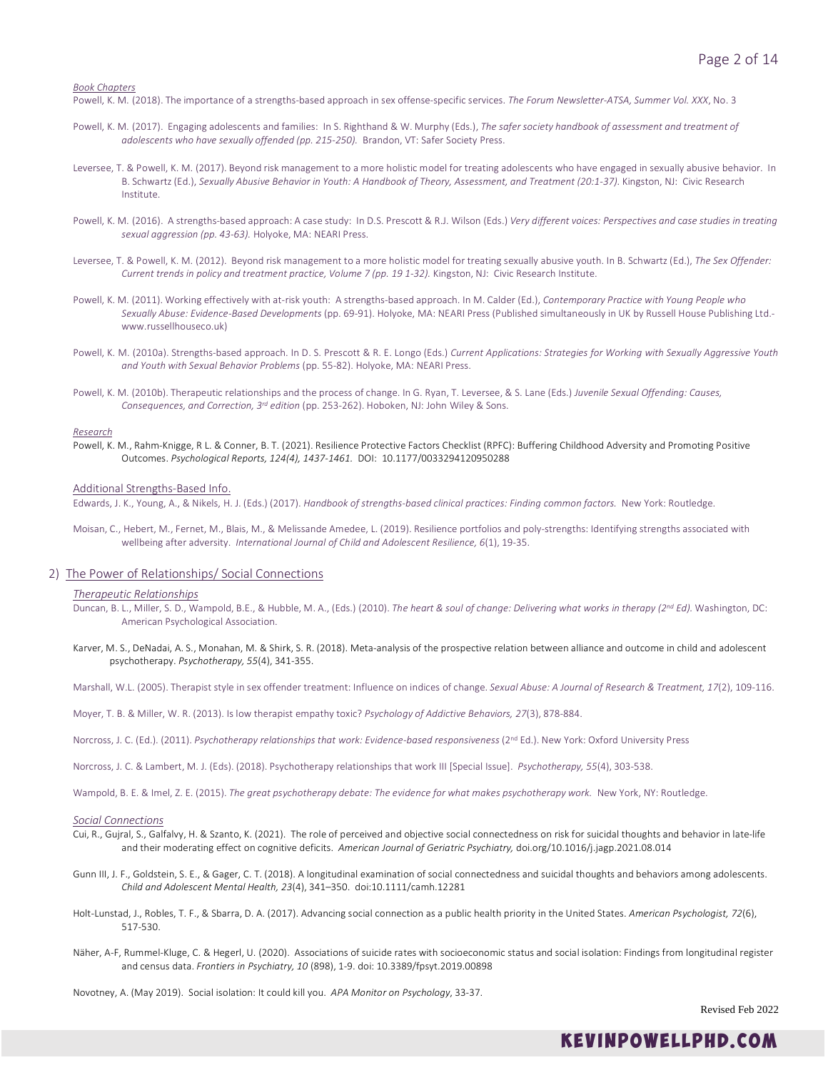*Book Chapters*

Powell, K. M. (2018). The importance of a strengths-based approach in sex offense-specific services. *The Forum Newsletter-ATSA, Summer Vol. XXX*, No. 3

- Powell, K. M. (2017). Engaging adolescents and families: In S. Righthand & W. Murphy (Eds.), *The safer society handbook of assessment and treatment of adolescents who have sexually offended (pp. 215-250).* Brandon, VT: Safer Society Press.
- Leversee, T. & Powell, K. M. (2017). Beyond risk management to a more holistic model for treating adolescents who have engaged in sexually abusive behavior. In B. Schwartz (Ed.), *Sexually Abusive Behavior in Youth: A Handbook of Theory, Assessment, and Treatment (20:1-37).* Kingston, NJ: Civic Research Institute.
- Powell, K. M. (2016). A strengths-based approach: A case study: In D.S. Prescott & R.J. Wilson (Eds.) Very different voices: Perspectives and case studies in treating *sexual aggression (pp. 43-63).* Holyoke, MA: NEARI Press.
- Leversee, T. & Powell, K. M. (2012). Beyond risk management to a more holistic model for treating sexually abusive youth. In B. Schwartz (Ed.), *The Sex Offender: Current trends in policy and treatment practice, Volume 7 (pp. 19 1-32).* Kingston, NJ: Civic Research Institute.
- Powell, K. M. (2011). Working effectively with at-risk youth: A strengths-based approach. In M. Calder (Ed.), *Contemporary Practice with Young People who Sexually Abuse: Evidence-Based Developments* (pp. 69-91). Holyoke, MA: NEARI Press (Published simultaneously in UK by Russell House Publishing Ltd. www.russellhouseco.uk)
- Powell, K. M. (2010a). Strengths-based approach. In D. S. Prescott & R. E. Longo (Eds.) *Current Applications: Strategies for Working with Sexually Aggressive Youth and Youth with Sexual Behavior Problems* (pp. 55-82). Holyoke, MA: NEARI Press.
- Powell, K. M. (2010b). Therapeutic relationships and the process of change. In G. Ryan, T. Leversee, & S. Lane (Eds.) *Juvenile Sexual Offending: Causes, Consequences, and Correction, 3rd edition* (pp. 253-262). Hoboken, NJ: John Wiley & Sons.

#### *Research*

Powell, K. M., Rahm-Knigge, R L. & Conner, B. T. (2021). Resilience Protective Factors Checklist (RPFC): Buffering Childhood Adversity and Promoting Positive Outcomes. *Psychological Reports, 124(4), 1437-1461.* [DOI: 10.1177/0033294120950288](https://doi.org/10.1177%2F0033294120950288)

### Additional Strengths-Based Info.

Edwards, J. K., Young, A., & Nikels, H. J. (Eds.) (2017). *Handbook of strengths-based clinical practices: Finding common factors.* New York: Routledge.

Moisan, C., Hebert, M., Fernet, M., Blais, M., & Melissande Amedee, L. (2019). Resilience portfolios and poly-strengths: Identifying strengths associated with wellbeing after adversity. *International Journal of Child and Adolescent Resilience, 6*(1), 19-35.

### 2) The Power of Relationships/ Social Connections

### *Therapeutic Relationships*

- Duncan, B. L., Miller, S. D., Wampold, B.E., & Hubble, M. A., (Eds.) (2010). *The heart & soul of change: Delivering what works in therapy (2nd Ed).* Washington, DC: American Psychological Association.
- Karver, M. S., DeNadai, A. S., Monahan, M. & Shirk, S. R. (2018). Meta-analysis of the prospective relation between alliance and outcome in child and adolescent psychotherapy. *Psychotherapy, 55*(4), 341-355.

Marshall, W.L. (2005). Therapist style in sex offender treatment: Influence on indices of change. *Sexual Abuse: A Journal of Research & Treatment, 17*(2), 109-116.

- Moyer, T. B. & Miller, W. R. (2013). Is low therapist empathy toxic? *Psychology of Addictive Behaviors, 27*(3), 878-884.
- Norcross, J. C. (Ed.). (2011). Psychotherapy relationships that work: Evidence-based responsiveness (2<sup>nd</sup> Ed.). New York: Oxford University Press

Norcross, J. C. & Lambert, M. J. (Eds). (2018). Psychotherapy relationships that work III [Special Issue]. *Psychotherapy, 55*(4), 303-538.

Wampold, B. E. & Imel, Z. E. (2015). The great psychotherapy debate: The evidence for what makes psychotherapy work. New York, NY: Routledge.

#### *Social Connections*

- Cui, R., Gujral, S., Galfalvy, H. & Szanto, K. (2021). The role of perceived and objective social connectedness on risk for suicidal thoughts and behavior in late-life and their moderating effect on cognitive deficits. *American Journal of Geriatric Psychiatry,* doi.org/10.1016/j.jagp.2021.08.014
- Gunn III, J. F., Goldstein, S. E., & Gager, C. T. (2018). A longitudinal examination of social connectedness and suicidal thoughts and behaviors among adolescents. *Child and Adolescent Mental Health, 23*(4), 341–350. doi:10.1111/camh.12281
- Holt-Lunstad, J., Robles, T. F., & Sbarra, D. A. (2017). Advancing social connection as a public health priority in the United States. *American Psychologist, 72*(6), 517-530.
- Näher, A-F, Rummel-Kluge, C. & Hegerl, U. (2020). Associations of suicide rates with socioeconomic status and social isolation: Findings from longitudinal register and census data. *Frontiers in Psychiatry, 10* (898), 1-9. doi: 10.3389/fpsyt.2019.00898

Novotney, A. (May 2019). Social isolation: It could kill you. *APA Monitor on Psychology*, 33-37.

Revised Feb 2022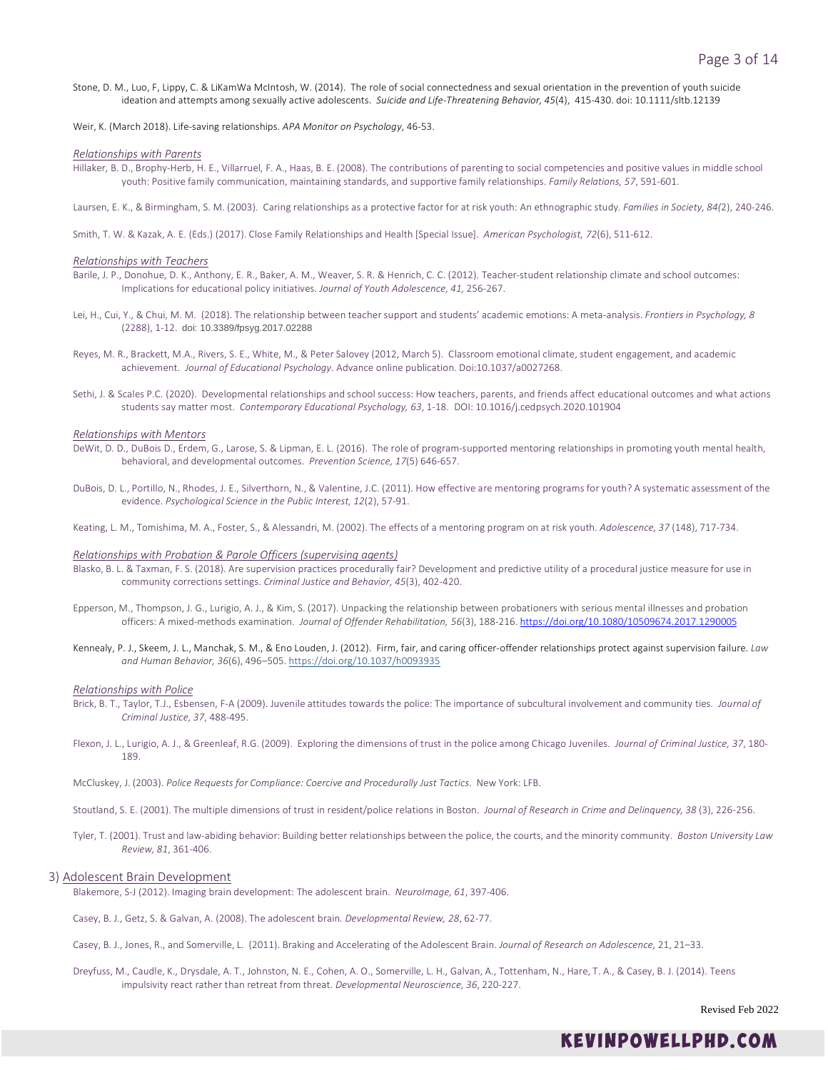Stone, D. M., Luo, F, Lippy, C. & LiKamWa McIntosh, W. (2014). The role of social connectedness and sexual orientation in the prevention of youth suicide ideation and attempts among sexually active adolescents. *Suicide and Life-Threatening Behavior, 45*(4), 415-430. doi: 10.1111/sltb.12139

Weir, K. (March 2018). Life-saving relationships. *APA Monitor on Psychology*, 46-53.

### *Relationships with Parents*

Hillaker, B. D., Brophy-Herb, H. E., Villarruel, F. A., Haas, B. E. (2008). The contributions of parenting to social competencies and positive values in middle school youth: Positive family communication, maintaining standards, and supportive family relationships. *Family Relations, 57*, 591-601.

Laursen, E. K., & Birmingham, S. M. (2003). Caring relationships as a protective factor for at risk youth: An ethnographic study*. Families in Society, 84(*2), 240-246.

Smith, T. W. & Kazak, A. E. (Eds.) (2017). Close Family Relationships and Health [Special Issue]. *American Psychologist, 72*(6), 511-612.

### *Relationships with Teachers*

- Barile, J. P., Donohue, D. K., Anthony, E. R., Baker, A. M., Weaver, S. R. & Henrich, C. C. (2012). Teacher-student relationship climate and school outcomes: Implications for educational policy initiatives. *Journal of Youth Adolescence, 41,* 256-267.
- Lei, H., Cui, Y., & Chui, M. M. (2018). The relationship between teacher support and students' academic emotions: A meta-analysis. *Frontiers in Psychology, 8* (2288), 1-12. doi: 10.3389/fpsyg.2017.02288
- Reyes, M. R., Brackett, M.A., Rivers, S. E., White, M., & Peter Salovey (2012, March 5). Classroom emotional climate, student engagement, and academic achievement. *Journal of Educational Psychology*. Advance online publication. Doi:10.1037/a0027268.
- Sethi, J. & Scales P.C. (2020). Developmental relationships and school success: How teachers, parents, and friends affect educational outcomes and what actions students say matter most. *Contemporary Educational Psychology, 63*, 1-18. DOI: 10.1016/j.cedpsych.2020.101904

#### *Relationships with Mentors*

- DeWit, D. D., DuBois D., Erdem, G., Larose, S. & Lipman, E. L. (2016). The role of program-supported mentoring relationships in promoting youth mental health, behavioral, and developmental outcomes. *Prevention Science, 17*(5) 646-657.
- DuBois, D. L., Portillo, N., Rhodes, J. E., Silverthorn, N., & Valentine, J.C. (2011). How effective are mentoring programs for youth? A systematic assessment of the evidence. *Psychological Science in the Public Interest, 12*(2), 57-91.

Keating, L. M., Tomishima, M. A., Foster, S., & Alessandri, M. (2002). The effects of a mentoring program on at risk youth. *Adolescence, 37* (148), 717-734.

### *Relationships with Probation & Parole Officers (supervising agents)*

- Blasko, B. L. & Taxman, F. S. (2018). Are supervision practices procedurally fair? Development and predictive utility of a procedural justice measure for use in community corrections settings. *Criminal Justice and Behavior, 45*(3), 402-420.
- Epperson, M., Thompson, J. G., Lurigio, A. J., & Kim, S. (2017). Unpacking the relationship between probationers with serious mental illnesses and probation officers: A mixed-methods examination. *Journal of Offender Rehabilitation, 56*(3), 188-216. <https://doi.org/10.1080/10509674.2017.1290005>
- Kennealy, P. J., Skeem, J. L., Manchak, S. M., & Eno Louden, J. (2012). Firm, fair, and caring officer-offender relationships protect against supervision failure. *Law and Human Behavior, 36*(6), 496–505. [https://doi.org/10.1037/h0093935](https://psycnet.apa.org/doi/10.1037/h0093935)

#### *Relationships with Police*

- Brick, B. T., Taylor, T.J., Esbensen, F-A (2009). Juvenile attitudes towards the police: The importance of subcultural involvement and community ties. *Journal of Criminal Justice, 37*, 488-495.
- Flexon, J. L., Lurigio, A. J., & Greenleaf, R.G. (2009). Exploring the dimensions of trust in the police among Chicago Juveniles. *Journal of Criminal Justice, 37*, 180- 189.
- McCluskey, J. (2003). *Police Requests for Compliance: Coercive and Procedurally Just Tactics*. New York: LFB.

Stoutland, S. E. (2001). The multiple dimensions of trust in resident/police relations in Boston. *Journal of Research in Crime and Delinquency, 38* (3), 226-256.

Tyler, T. (2001). Trust and law-abiding behavior: Building better relationships between the police, the courts, and the minority community. *Boston University Law Review, 81*, 361-406.

### 3) Adolescent Brain Development

Blakemore, S-J (2012). Imaging brain development: The adolescent brain. *NeuroImage, 61*, 397-406.

Casey, B. J., Getz, S. & Galvan, A. (2008). The adolescent brain*. Developmental Review, 28*, 62-77.

Casey, B. J., Jones, R., and Somerville, L. (2011). Braking and Accelerating of the Adolescent Brain. *Journal of Research on Adolescence,* 21, 21–33.

Dreyfuss, M., Caudle, K., Drysdale, A. T., Johnston, N. E., Cohen, A. O., Somerville, L. H., Galvan, A., Tottenham, N., Hare, T. A., & Casey, B. J. (2014). Teens impulsivity react rather than retreat from threat. *Developmental Neuroscience, 36*, 220-227.

Revised Feb 2022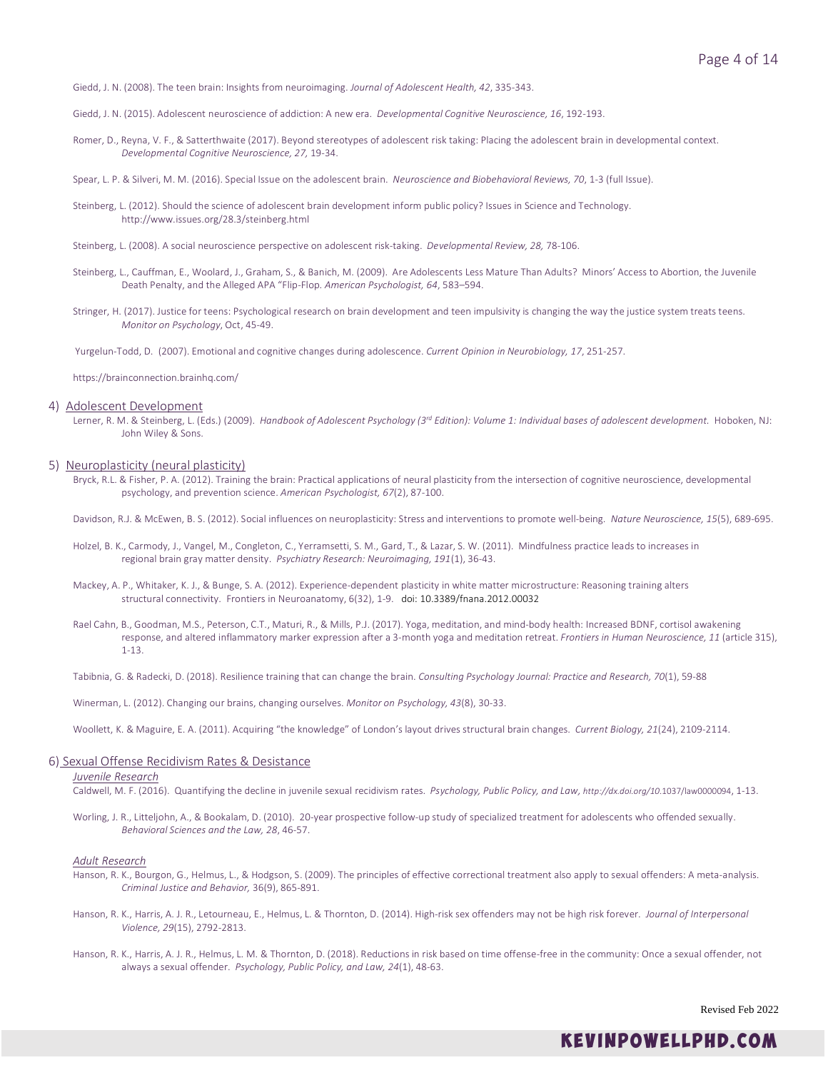- Giedd, J. N. (2008). The teen brain: Insights from neuroimaging. *Journal of Adolescent Health, 42*, 335-343.
- Giedd, J. N. (2015). Adolescent neuroscience of addiction: A new era. *Developmental Cognitive Neuroscience, 16*, 192-193.
- Romer, D., Reyna, V. F., & Satterthwaite (2017). Beyond stereotypes of adolescent risk taking: Placing the adolescent brain in developmental context. *Developmental Cognitive Neuroscience, 27,* 19-34.
- Spear, L. P. & Silveri, M. M. (2016). Special Issue on the adolescent brain. *Neuroscience and Biobehavioral Reviews, 70*, 1-3 (full Issue).
- Steinberg, L. (2012). Should the science of adolescent brain development inform public policy? Issues in Science and Technology. http://www.issues.org/28.3/steinberg.html
- Steinberg, L. (2008). A social neuroscience perspective on adolescent risk-taking. *Developmental Review, 28,* 78-106.
- Steinberg, L., Cauffman, E., Woolard, J., Graham, S., & Banich, M. (2009). Are Adolescents Less Mature Than Adults? Minors' Access to Abortion, the Juvenile Death Penalty, and the Alleged APA "Flip-Flop. *American Psychologist, 64*, 583–594.
- Stringer, H. (2017). Justice for teens: Psychological research on brain development and teen impulsivity is changing the way the justice system treats teens. *Monitor on Psychology*, Oct, 45-49.
- Yurgelun-Todd, D. (2007). Emotional and cognitive changes during adolescence. *Current Opinion in Neurobiology, 17*, 251-257.

https://brainconnection.brainhq.com/

### 4) Adolescent Development

Lerner, R. M. & Steinberg, L. (Eds.) (2009). *Handbook of Adolescent Psychology (3rd Edition): Volume 1: Individual bases of adolescent development.* Hoboken, NJ: John Wiley & Sons.

### 5) Neuroplasticity (neural plasticity)

Bryck, R.L. & Fisher, P. A. (2012). Training the brain: Practical applications of neural plasticity from the intersection of cognitive neuroscience, developmental psychology, and prevention science. *American Psychologist, 67*(2), 87-100.

Davidson, R.J. & McEwen, B. S. (2012). Social influences on neuroplasticity: Stress and interventions to promote well-being. *Nature Neuroscience, 15*(5), 689-695.

- Holzel, B. K., Carmody, J., Vangel, M., Congleton, C., Yerramsetti, S. M., Gard, T., & Lazar, S. W. (2011). Mindfulness practice leads to increases in regional brain gray matter density. *Psychiatry Research: Neuroimaging, 191*(1), 36-43.
- Mackey, A. P., Whitaker, K. J., & Bunge, S. A. (2012). Experience-dependent plasticity in white matter microstructure: Reasoning training alters structural connectivity. Frontiers in Neuroanatomy, 6(32), 1-9. doi: 10.3389/fnana.2012.00032
- Rael Cahn, B., Goodman, M.S., Peterson, C.T., Maturi, R., & Mills, P.J. (2017). Yoga, meditation, and mind-body health: Increased BDNF, cortisol awakening response, and altered inflammatory marker expression after a 3-month yoga and meditation retreat. *Frontiers in Human Neuroscience, 11* (article 315), 1-13.
- Tabibnia, G. & Radecki, D. (2018). Resilience training that can change the brain. *Consulting Psychology Journal: Practice and Research, 70*(1), 59-88

Winerman, L. (2012). Changing our brains, changing ourselves. *Monitor on Psychology, 43*(8), 30-33.

Woollett, K. & Maguire, E. A. (2011). Acquiring "the knowledge" of London's layout drives structural brain changes. *Current Biology, 21*(24), 2109-2114.

### 6) Sexual Offense Recidivism Rates & Desistance

### *Juvenile Research*

Caldwell, M. F. (2016). Quantifying the decline in juvenile sexual recidivism rates. *Psychology, Public Policy, and Law, http://dx.doi.org/10*.1037/law0000094, 1-13.

Worling, J. R., Litteljohn, A., & Bookalam, D. (2010). 20-year prospective follow-up study of specialized treatment for adolescents who offended sexually. *Behavioral Sciences and the Law, 28*, 46-57.

# *Adult Research*

- Hanson, R. K., Bourgon, G., Helmus, L., & Hodgson, S. (2009). The principles of effective correctional treatment also apply to sexual offenders: A meta-analysis. *Criminal Justice and Behavior,* 36(9), 865-891.
- Hanson, R. K., Harris, A. J. R., Letourneau, E., Helmus, L. & Thornton, D. (2014). High-risk sex offenders may not be high risk forever. *Journal of Interpersonal Violence, 29*(15), 2792-2813.
- Hanson, R. K., Harris, A. J. R., Helmus, L. M. & Thornton, D. (2018). Reductions in risk based on time offense-free in the community: Once a sexual offender, not always a sexual offender. *Psychology, Public Policy, and Law, 24*(1), 48-63.

Revised Feb 2022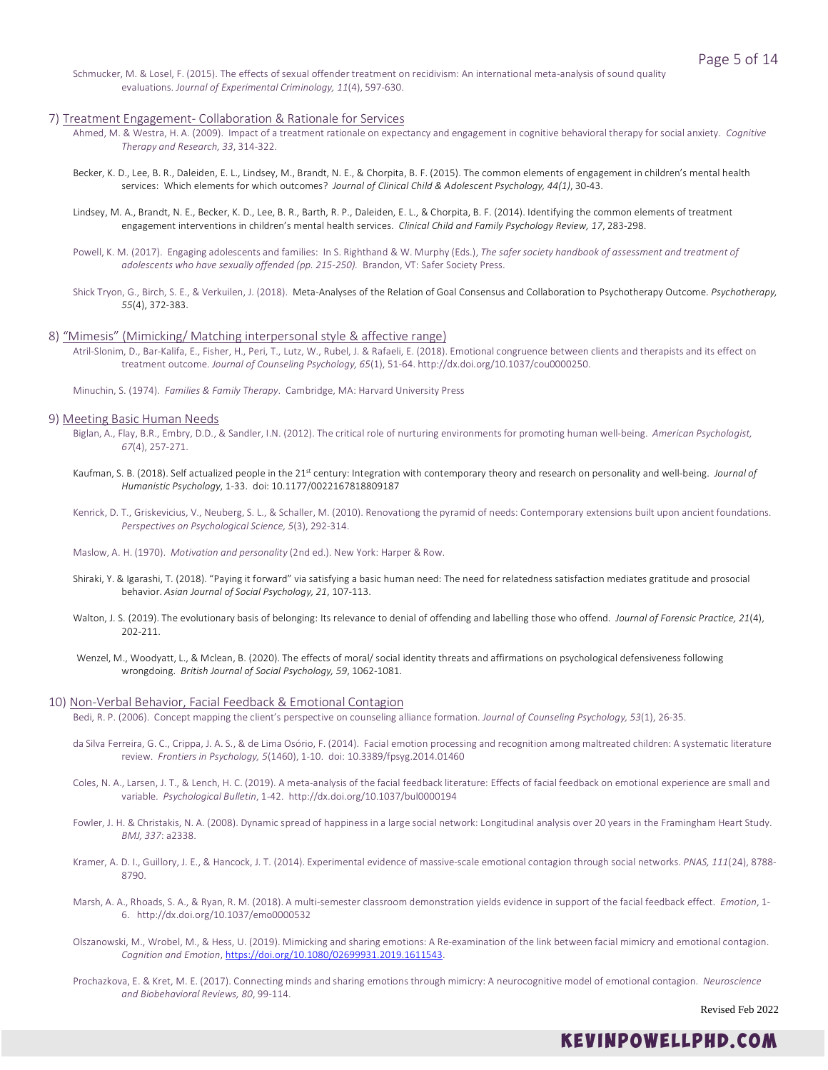Schmucker, M. & Losel, F. (2015). The effects of sexual offender treatment on recidivism: An international meta-analysis of sound quality evaluations. *Journal of Experimental Criminology, 11*(4), 597-630.

# 7) Treatment Engagement- Collaboration & Rationale for Services

- Ahmed, M. & Westra, H. A. (2009). Impact of a treatment rationale on expectancy and engagement in cognitive behavioral therapy for social anxiety. *Cognitive Therapy and Research, 33*, 314-322.
- Becker, K. D., Lee, B. R., Daleiden, E. L., Lindsey, M., Brandt, N. E., & Chorpita, B. F. (2015). The common elements of engagement in children's mental health services: Which elements for which outcomes? *Journal of Clinical Child & Adolescent Psychology, 44(1)*, 30-43.
- Lindsey, M. A., Brandt, N. E., Becker, K. D., Lee, B. R., Barth, R. P., Daleiden, E. L., & Chorpita, B. F. (2014). Identifying the common elements of treatment engagement interventions in children's mental health services. *Clinical Child and Family Psychology Review, 17*, 283-298.
- Powell, K. M. (2017). Engaging adolescents and families: In S. Righthand & W. Murphy (Eds.), *The safer society handbook of assessment and treatment of adolescents who have sexually offended (pp. 215-250).* Brandon, VT: Safer Society Press.
- Shick Tryon, G., Birch, S. E., & Verkuilen, J. (2018). Meta-Analyses of the Relation of Goal Consensus and Collaboration to Psychotherapy Outcome. *Psychotherapy, 55*(4), 372-383.

# 8) "Mimesis" (Mimicking/ Matching interpersonal style & affective range)

Atril-Slonim, D., Bar-Kalifa, E., Fisher, H., Peri, T., Lutz, W., Rubel, J. & Rafaeli, E. (2018). Emotional congruence between clients and therapists and its effect on treatment outcome. *Journal of Counseling Psychology, 65*(1), 51-64. http://dx.doi.org/10.1037/cou0000250.

Minuchin, S. (1974). *Families & Family Therapy*. Cambridge, MA: Harvard University Press

#### 9) Meeting Basic Human Needs

- Biglan, A., Flay, B.R., Embry, D.D., & Sandler, I.N. (2012). The critical role of nurturing environments for promoting human well-being. *American Psychologist, 67*(4), 257-271.
- Kaufman, S. B. (2018). Self actualized people in the 21<sup>st</sup> century: Integration with contemporary theory and research on personality and well-being. *Journal of Humanistic Psychology*, 1-33. doi: 10.1177/0022167818809187
- Kenrick, D. T., Griskevicius, V., Neuberg, S. L., & Schaller, M. (2010). Renovationg the pyramid of needs: Contemporary extensions built upon ancient foundations. *Perspectives on Psychological Science, 5*(3), 292-314.
- Maslow, A. H. (1970). *Motivation and personality* (2nd ed.). New York: Harper & Row.
- Shiraki, Y. & Igarashi, T. (2018). "Paying it forward" via satisfying a basic human need: The need for relatedness satisfaction mediates gratitude and prosocial behavior. *Asian Journal of Social Psychology, 21*, 107-113.
- Walton, J. S. (2019). The evolutionary basis of belonging: Its relevance to denial of offending and labelling those who offend. *Journal of Forensic Practice, 21*(4), 202-211.
- Wenzel, M., Woodyatt, L., & Mclean, B. (2020). The effects of moral/ social identity threats and affirmations on psychological defensiveness following wrongdoing. *British Journal of Social Psychology, 59*, 1062-1081.

### 10) Non-Verbal Behavior, Facial Feedback & Emotional Contagion

Bedi, R. P. (2006). Concept mapping the client's perspective on counseling alliance formation. *Journal of Counseling Psychology, 53*(1), 26-35.

- da Silva Ferreira, G. C., Crippa, J. A. S., & de Lima Osório, F. (2014). Facial emotion processing and recognition among maltreated children: A systematic literature review. *Frontiers in Psychology, 5*(1460), 1-10. doi: 10.3389/fpsyg.2014.01460
- Coles, N. A., Larsen, J. T., & Lench, H. C. (2019). A meta-analysis of the facial feedback literature: Effects of facial feedback on emotional experience are small and variable. *Psychological Bulletin*, 1-42. http://dx.doi.org/10.1037/bul0000194
- Fowler, J. H. & Christakis, N. A. (2008). Dynamic spread of happiness in a large social network: Longitudinal analysis over 20 years in the Framingham Heart Study. *BMJ, 337*: a2338.
- Kramer, A. D. I., Guillory, J. E., & Hancock, J. T. (2014). Experimental evidence of massive-scale emotional contagion through social networks. *PNAS, 111*(24), 8788- 8790.
- Marsh, A. A., Rhoads, S. A., & Ryan, R. M. (2018). A multi-semester classroom demonstration yields evidence in support of the facial feedback effect. *Emotion*, 1- 6. http://dx.doi.org/10.1037/emo0000532
- Olszanowski, M., Wrobel, M., & Hess, U. (2019). Mimicking and sharing emotions: A Re-examination of the link between facial mimicry and emotional contagion. *Cognition and Emotion*, [https://doi.org/10.1080/02699931.2019.1611543.](https://doi.org/10.1080/02699931.2019.1611543)
- Prochazkova, E. & Kret, M. E. (2017). Connecting minds and sharing emotions through mimicry: A neurocognitive model of emotional contagion. *Neuroscience and Biobehavioral Reviews, 80*, 99-114.

Revised Feb 2022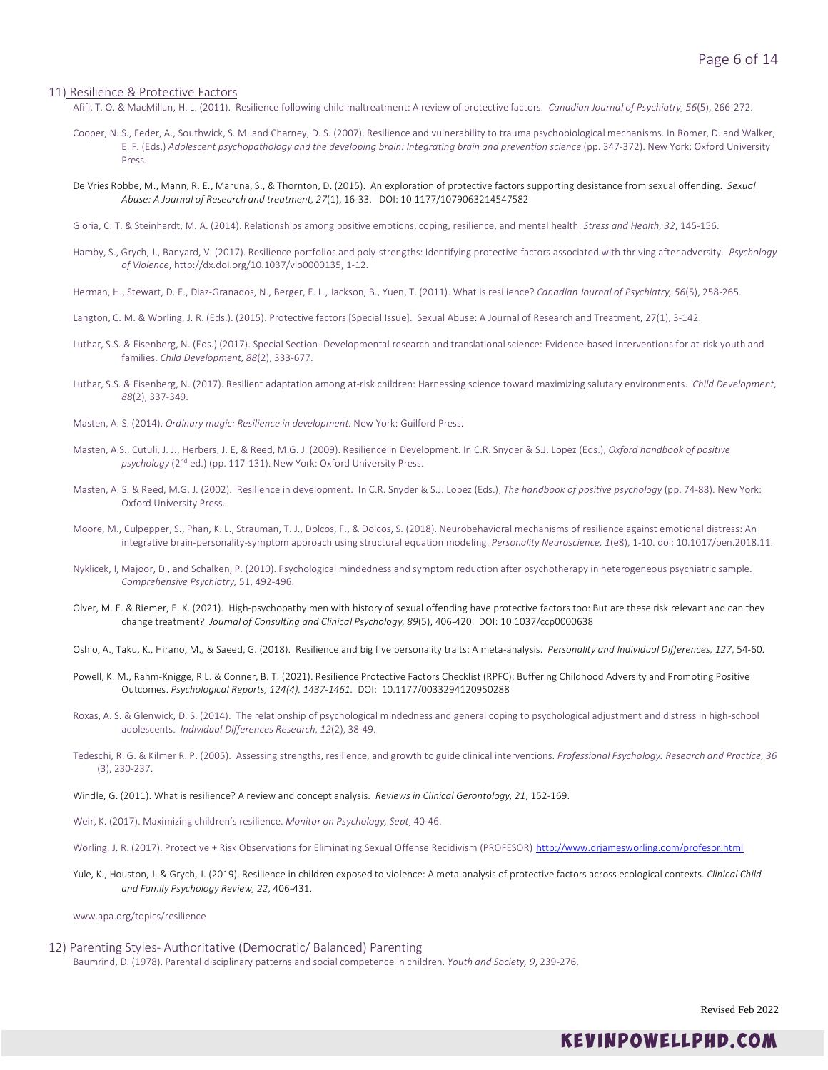### 11) Resilience & Protective Factors

Afifi, T. O. & MacMillan, H. L. (2011). Resilience following child maltreatment: A review of protective factors. *Canadian Journal of Psychiatry, 56*(5), 266-272.

- Cooper, N. S., Feder, A., Southwick, S. M. and Charney, D. S. (2007). Resilience and vulnerability to trauma psychobiological mechanisms. In Romer, D. and Walker, E. F. (Eds.) *Adolescent psychopathology and the developing brain: Integrating brain and prevention science* (pp. 347-372). New York: Oxford University Press.
- De Vries Robbe, M., Mann, R. E., Maruna, S., & Thornton, D. (2015). An exploration of protective factors supporting desistance from sexual offending. *Sexual Abuse: A Journal of Research and treatment, 27*(1), 16-33. DOI: 10.1177/1079063214547582
- Gloria, C. T. & Steinhardt, M. A. (2014). Relationships among positive emotions, coping, resilience, and mental health. *Stress and Health, 32*, 145-156.
- Hamby, S., Grych, J., Banyard, V. (2017). Resilience portfolios and poly-strengths: Identifying protective factors associated with thriving after adversity. *Psychology of Violence*, http://dx.doi.org/10.1037/vio0000135, 1-12.
- Herman, H., Stewart, D. E., Diaz-Granados, N., Berger, E. L., Jackson, B., Yuen, T. (2011). What is resilience? *Canadian Journal of Psychiatry, 56*(5), 258-265.
- Langton, C. M. & Worling, J. R. (Eds.). (2015). Protective factors [Special Issue]. Sexual Abuse: A Journal of Research and Treatment, 27(1), 3-142.
- Luthar, S.S. & Eisenberg, N. (Eds.) (2017). Special Section- Developmental research and translational science: Evidence-based interventions for at-risk youth and families. *Child Development, 88*(2), 333-677.
- Luthar, S.S. & Eisenberg, N. (2017). Resilient adaptation among at-risk children: Harnessing science toward maximizing salutary environments. *Child Development, 88*(2), 337-349.
- Masten, A. S. (2014). *Ordinary magic: Resilience in development.* New York: Guilford Press.
- Masten, A.S., Cutuli, J. J., Herbers, J. E, & Reed, M.G. J. (2009). Resilience in Development. In C.R. Snyder & S.J. Lopez (Eds.), *Oxford handbook of positive psychology* (2nd ed.) (pp. 117-131). New York: Oxford University Press.
- Masten, A. S. & Reed, M.G. J. (2002). Resilience in development. In C.R. Snyder & S.J. Lopez (Eds.), *The handbook of positive psychology* (pp. 74-88). New York: Oxford University Press.
- Moore, M., Culpepper, S., Phan, K. L., Strauman, T. J., Dolcos, F., & Dolcos, S. (2018). Neurobehavioral mechanisms of resilience against emotional distress: An integrative brain-personality-symptom approach using structural equation modeling. *Personality Neuroscience, 1*(e8), 1-10. doi: 10.1017/pen.2018.11.
- Nyklicek, I, Majoor, D., and Schalken, P. (2010). Psychological mindedness and symptom reduction after psychotherapy in heterogeneous psychiatric sample. *Comprehensive Psychiatry,* 51, 492-496.
- Olver, M. E. & Riemer, E. K. (2021). High-psychopathy men with history of sexual offending have protective factors too: But are these risk relevant and can they change treatment? *Journal of Consulting and Clinical Psychology, 89*(5), 406-420. DOI: 10.1037/ccp0000638
- Oshio, A., Taku, K., Hirano, M., & Saeed, G. (2018). Resilience and big five personality traits: A meta-analysis. *Personality and Individual Differences, 127*, 54-60.
- Powell, K. M., Rahm-Knigge, R L. & Conner, B. T. (2021). Resilience Protective Factors Checklist (RPFC): Buffering Childhood Adversity and Promoting Positive Outcomes. *Psychological Reports, 124(4), 1437-1461.* [DOI: 10.1177/0033294120950288](https://doi.org/10.1177%2F0033294120950288)
- Roxas, A. S. & Glenwick, D. S. (2014). The relationship of psychological mindedness and general coping to psychological adjustment and distress in high-school adolescents. *Individual Differences Research, 12*(2), 38-49.
- Tedeschi, R. G. & Kilmer R. P. (2005). Assessing strengths, resilience, and growth to guide clinical interventions. *Professional Psychology: Research and Practice, 36* (3), 230-237.
- Windle, G. (2011). What is resilience? A review and concept analysis. *Reviews in Clinical Gerontology, 21*, 152-169.
- Weir, K. (2017). Maximizing children's resilience. *Monitor on Psychology, Sept*, 40-46.
- Worling, J. R. (2017). Protective + Risk Observations for Eliminating Sexual Offense Recidivism (PROFESOR) <http://www.drjamesworling.com/profesor.html>
- Yule, K., Houston, J. & Grych, J. (2019). Resilience in children exposed to violence: A meta-analysis of protective factors across ecological contexts. *Clinical Child and Family Psychology Review, 22*, 406-431.

www.apa.org/topics/resilience

12) Parenting Styles- Authoritative (Democratic/ Balanced) Parenting Baumrind, D. (1978). Parental disciplinary patterns and social competence in children. *Youth and Society, 9*, 239-276.

Revised Feb 2022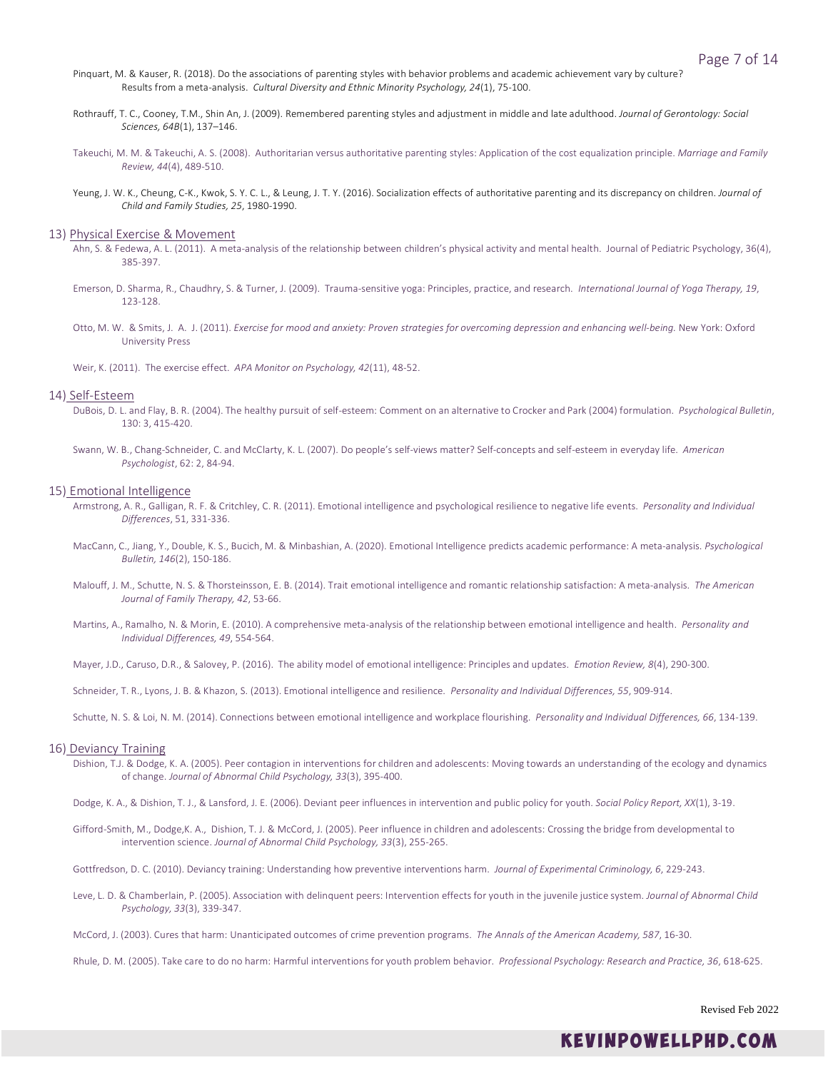- Pinquart, M. & Kauser, R. (2018). Do the associations of parenting styles with behavior problems and academic achievement vary by culture? Results from a meta-analysis. *Cultural Diversity and Ethnic Minority Psychology, 24*(1), 75-100.
- Rothrauff, T. C., Cooney, T.M., Shin An, J. (2009). Remembered parenting styles and adjustment in middle and late adulthood. *Journal of Gerontology: Social Sciences, 64B*(1), 137–146.
- Takeuchi, M. M. & Takeuchi, A. S. (2008). Authoritarian versus authoritative parenting styles: Application of the cost equalization principle. *Marriage and Family Review, 44*(4), 489-510.
- Yeung, J. W. K., Cheung, C-K., Kwok, S. Y. C. L., & Leung, J. T. Y. (2016). Socialization effects of authoritative parenting and its discrepancy on children. *Journal of Child and Family Studies, 25*, 1980-1990.

#### 13) Physical Exercise & Movement

- Ahn, S. & Fedewa, A. L. (2011). A meta-analysis of the relationship between children's physical activity and mental health. Journal of Pediatric Psychology, 36(4), 385-397.
- Emerson, D. Sharma, R., Chaudhry, S. & Turner, J. (2009). Trauma-sensitive yoga: Principles, practice, and research. *International Journal of Yoga Therapy, 19*, 123-128.
- Otto, M. W. & Smits, J. A. J. (2011). *Exercise for mood and anxiety: Proven strategies for overcoming depression and enhancing well-being.* New York: Oxford University Press

Weir, K. (2011). The exercise effect. *APA Monitor on Psychology, 42*(11), 48-52.

#### 14) Self-Esteem

- DuBois, D. L. and Flay, B. R. (2004). The healthy pursuit of self-esteem: Comment on an alternative to Crocker and Park (2004) formulation. *Psychological Bulletin*, 130: 3, 415-420.
- Swann, W. B., Chang-Schneider, C. and McClarty, K. L. (2007). Do people's self-views matter? Self-concepts and self-esteem in everyday life. *American Psychologist*, 62: 2, 84-94.

### 15) Emotional Intelligence

- Armstrong, A. R., Galligan, R. F. & Critchley, C. R. (2011). Emotional intelligence and psychological resilience to negative life events. *Personality and Individual Differences*, 51, 331-336.
- MacCann, C., Jiang, Y., Double, K. S., Bucich, M. & Minbashian, A. (2020). Emotional Intelligence predicts academic performance: A meta-analysis. *Psychological Bulletin, 146*(2), 150-186.
- Malouff, J. M., Schutte, N. S. & Thorsteinsson, E. B. (2014). Trait emotional intelligence and romantic relationship satisfaction: A meta-analysis. *The American Journal of Family Therapy, 42*, 53-66.
- Martins, A., Ramalho, N. & Morin, E. (2010). A comprehensive meta-analysis of the relationship between emotional intelligence and health. *Personality and Individual Differences, 49*, 554-564.
- Mayer, J.D., Caruso, D.R., & Salovey, P. (2016). The ability model of emotional intelligence: Principles and updates. *Emotion Review, 8*(4), 290-300.

Schneider, T. R., Lyons, J. B. & Khazon, S. (2013). Emotional intelligence and resilience. *Personality and Individual Differences, 55*, 909-914.

Schutte, N. S. & Loi, N. M. (2014). Connections between emotional intelligence and workplace flourishing. *Personality and Individual Differences, 66*, 134-139.

### 16) Deviancy Training

Dishion, T.J. & Dodge, K. A. (2005). Peer contagion in interventions for children and adolescents: Moving towards an understanding of the ecology and dynamics of change. *Journal of Abnormal Child Psychology, 33*(3), 395-400.

Dodge, K. A., & Dishion, T. J., & Lansford, J. E. (2006). Deviant peer influences in intervention and public policy for youth. *Social Policy Report, XX*(1), 3-19.

Gifford-Smith, M., Dodge,K. A., Dishion, T. J. & McCord, J. (2005). Peer influence in children and adolescents: Crossing the bridge from developmental to intervention science. *Journal of Abnormal Child Psychology, 33*(3), 255-265.

Gottfredson, D. C. (2010). Deviancy training: Understanding how preventive interventions harm. *Journal of Experimental Criminology, 6*, 229-243.

Leve, L. D. & Chamberlain, P. (2005). Association with delinquent peers: Intervention effects for youth in the juvenile justice system. *Journal of Abnormal Child Psychology, 33*(3), 339-347.

McCord, J. (2003). Cures that harm: Unanticipated outcomes of crime prevention programs. *The Annals of the American Academy, 587*, 16-30.

Rhule, D. M. (2005). Take care to do no harm: Harmful interventions for youth problem behavior. *Professional Psychology: Research and Practice, 36*, 618-625.

Revised Feb 2022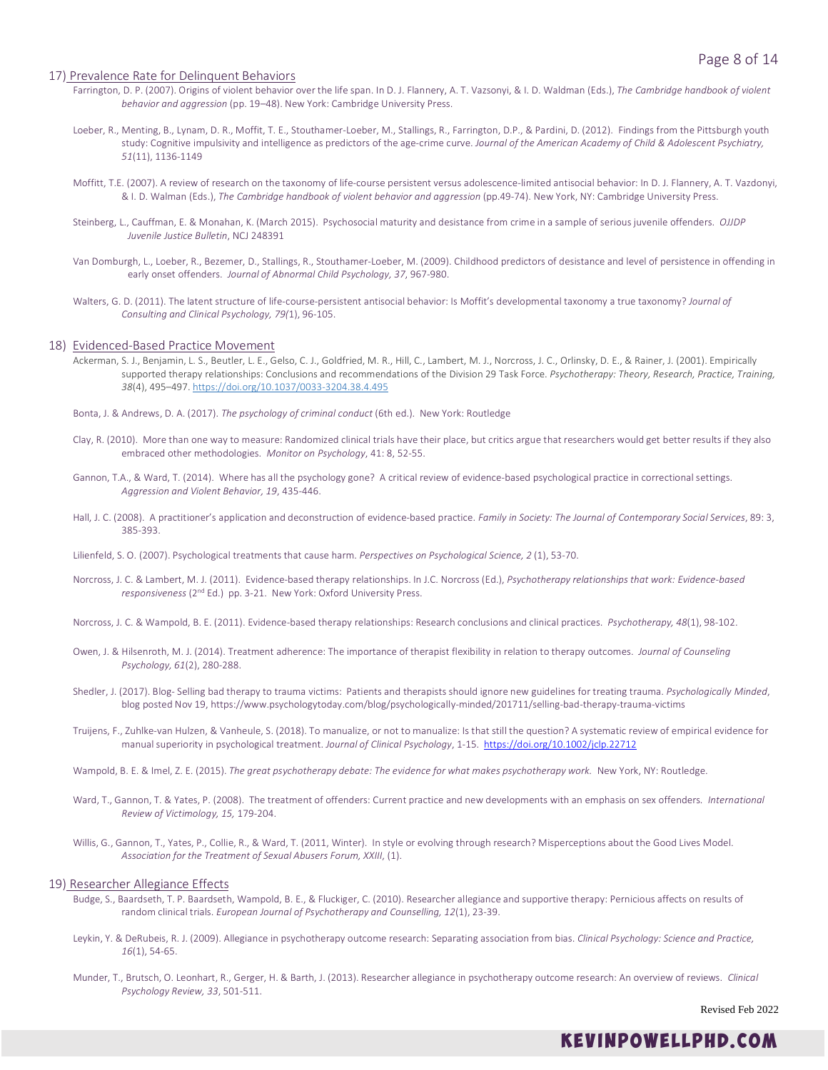# 17) Prevalence Rate for Delinquent Behaviors

- Farrington, D. P. (2007). Origins of violent behavior over the life span. In D. J. Flannery, A. T. Vazsonyi, & I. D. Waldman (Eds.), *The Cambridge handbook of violent behavior and aggression* (pp. 19–48). New York: Cambridge University Press.
- Loeber, R., Menting, B., Lynam, D. R., Moffit, T. E., Stouthamer-Loeber, M., Stallings, R., Farrington, D.P., & Pardini, D. (2012). Findings from the Pittsburgh youth study: Cognitive impulsivity and intelligence as predictors of the age-crime curve. *Journal of the American Academy of Child & Adolescent Psychiatry, 51*(11), 1136-1149
- Moffitt, T.E. (2007). A review of research on the taxonomy of life-course persistent versus adolescence-limited antisocial behavior: In D. J. Flannery, A. T. Vazdonyi, & I. D. Walman (Eds.), *The Cambridge handbook of violent behavior and aggression* (pp.49-74). New York, NY: Cambridge University Press.
- Steinberg, L., Cauffman, E. & Monahan, K. (March 2015). Psychosocial maturity and desistance from crime in a sample of serious juvenile offenders. *OJJDP Juvenile Justice Bulletin*, NCJ 248391
- Van Domburgh, L., Loeber, R., Bezemer, D., Stallings, R., Stouthamer-Loeber, M. (2009). Childhood predictors of desistance and level of persistence in offending in early onset offenders. *Journal of Abnormal Child Psychology, 37*, 967-980.
- Walters, G. D. (2011). The latent structure of life-course-persistent antisocial behavior: Is Moffit's developmental taxonomy a true taxonomy? *Journal of Consulting and Clinical Psychology, 79(*1), 96-105.

### 18) Evidenced-Based Practice Movement

- Ackerman, S. J., Benjamin, L. S., Beutler, L. E., Gelso, C. J., Goldfried, M. R., Hill, C., Lambert, M. J., Norcross, J. C., Orlinsky, D. E., & Rainer, J. (2001). Empirically supported therapy relationships: Conclusions and recommendations of the Division 29 Task Force. *Psychotherapy: Theory, Research, Practice, Training, 38*(4), 495–497. [https://doi.org/10.1037/0033-3204.38.4.495](https://psycnet.apa.org/doi/10.1037/0033-3204.38.4.495)
- Bonta, J. & Andrews, D. A. (2017). *The psychology of criminal conduct* (6th ed.). New York: Routledge
- Clay, R. (2010). More than one way to measure: Randomized clinical trials have their place, but critics argue that researchers would get better results if they also embraced other methodologies. *Monitor on Psychology*, 41: 8, 52-55.
- Gannon, T.A., & Ward, T. (2014). Where has all the psychology gone? A critical review of evidence-based psychological practice in correctional settings. *Aggression and Violent Behavior, 19*, 435-446.
- Hall, J. C. (2008). A practitioner's application and deconstruction of evidence-based practice. *Family in Society: The Journal of Contemporary Social Services*, 89: 3, 385-393.
- Lilienfeld, S. O. (2007). Psychological treatments that cause harm. *Perspectives on Psychological Science, 2* (1), 53-70.
- Norcross, J. C. & Lambert, M. J. (2011). Evidence-based therapy relationships. In J.C. Norcross (Ed.), *Psychotherapy relationships that work: Evidence-based responsiveness* (2nd Ed.) pp. 3-21. New York: Oxford University Press.
- Norcross, J. C. & Wampold, B. E. (2011). Evidence-based therapy relationships: Research conclusions and clinical practices. *Psychotherapy, 48*(1), 98-102.
- Owen, J. & Hilsenroth, M. J. (2014). Treatment adherence: The importance of therapist flexibility in relation to therapy outcomes. *Journal of Counseling Psychology, 61*(2), 280-288.
- Shedler, J. (2017). Blog- Selling bad therapy to trauma victims: Patients and therapists should ignore new guidelines for treating trauma. *Psychologically Minded*, blog posted Nov 19, https://www.psychologytoday.com/blog/psychologically-minded/201711/selling-bad-therapy-trauma-victims
- Truijens, F., Zuhlke-van Hulzen, & Vanheule, S. (2018). To manualize, or not to manualize: Is that still the question? A systematic review of empirical evidence for manual superiority in psychological treatment. *Journal of Clinical Psychology*, 1-15. <https://doi.org/10.1002/jclp.22712>
- Wampold, B. E. & Imel, Z. E. (2015). *The great psychotherapy debate: The evidence for what makes psychotherapy work.* New York, NY: Routledge.
- Ward, T., Gannon, T. & Yates, P. (2008). The treatment of offenders: Current practice and new developments with an emphasis on sex offenders*. International Review of Victimology, 15,* 179-204.
- Willis, G., Gannon, T., Yates, P., Collie, R., & Ward, T. (2011, Winter). In style or evolving through research? Misperceptions about the Good Lives Model. *Association for the Treatment of Sexual Abusers Forum, XXIII*, (1).

# 19) Researcher Allegiance Effects

- Budge, S., Baardseth, T. P. Baardseth, Wampold, B. E., & Fluckiger, C. (2010). Researcher allegiance and supportive therapy: Pernicious affects on results of random clinical trials. *European Journal of Psychotherapy and Counselling, 12*(1), 23-39.
- Leykin, Y. & DeRubeis, R. J. (2009). Allegiance in psychotherapy outcome research: Separating association from bias. *Clinical Psychology: Science and Practice, 16*(1), 54-65.
- Munder, T., Brutsch, O. Leonhart, R., Gerger, H. & Barth, J. (2013). Researcher allegiance in psychotherapy outcome research: An overview of reviews. *Clinical Psychology Review, 33*, 501-511.

Revised Feb 2022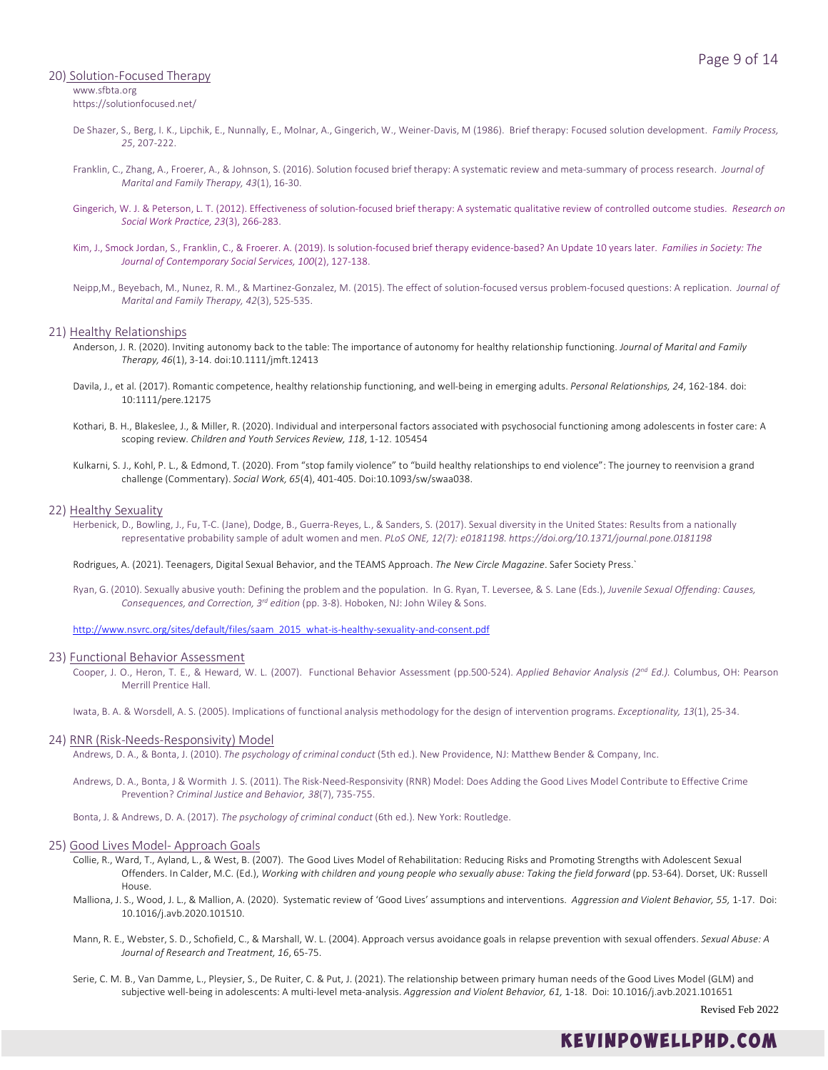# 20) Solution-Focused Therapy www.sfbta.org

https://solutionfocused.net/

- De Shazer, S., Berg, I. K., Lipchik, E., Nunnally, E., Molnar, A., Gingerich, W., Weiner-Davis, M (1986). Brief therapy: Focused solution development. *Family Process, 25*, 207-222.
- Franklin, C., Zhang, A., Froerer, A., & Johnson, S. (2016). Solution focused brief therapy: A systematic review and meta-summary of process research. *Journal of Marital and Family Therapy, 43*(1), 16-30.
- Gingerich, W. J. & Peterson, L. T. (2012). Effectiveness of solution-focused brief therapy: A systematic qualitative review of controlled outcome studies. *Research on Social Work Practice, 23*(3), 266-283.
- Kim, J., Smock Jordan, S., Franklin, C., & Froerer. A. (2019). Is solution-focused brief therapy evidence-based? An Update 10 years later. *Families in Society: The Journal of Contemporary Social Services, 100*(2), 127-138.
- Neipp,M., Beyebach, M., Nunez, R. M., & Martinez-Gonzalez, M. (2015). The effect of solution-focused versus problem-focused questions: A replication. *Journal of Marital and Family Therapy, 42*(3), 525-535.

### 21) Healthy Relationships

- Anderson, J. R. (2020). Inviting autonomy back to the table: The importance of autonomy for healthy relationship functioning. *Journal of Marital and Family Therapy, 46*(1), 3-14. doi:10.1111/jmft.12413
- Davila, J., et al. (2017). Romantic competence, healthy relationship functioning, and well-being in emerging adults. *Personal Relationships, 24*, 162-184. doi: 10:1111/pere.12175
- Kothari, B. H., Blakeslee, J., & Miller, R. (2020). Individual and interpersonal factors associated with psychosocial functioning among adolescents in foster care: A scoping review. *Children and Youth Services Review, 118*, 1-12. 105454
- Kulkarni, S. J., Kohl, P. L., & Edmond, T. (2020). From "stop family violence" to "build healthy relationships to end violence": The journey to reenvision a grand challenge (Commentary). *Social Work, 65*(4), 401-405. Doi:10.1093/sw/swaa038.

### 22) Healthy Sexuality

Herbenick, D., Bowling, J., Fu, T-C. (Jane), Dodge, B., Guerra-Reyes, L., & Sanders, S. (2017). Sexual diversity in the United States: Results from a nationally representative probability sample of adult women and men. *PLoS ONE, 12(7): e0181198. https://doi.org/10.1371/journal.pone.0181198*

Rodrigues, A. (2021). Teenagers, Digital Sexual Behavior, and the TEAMS Approach. *The New Circle Magazine*. Safer Society Press.`

Ryan, G. (2010). Sexually abusive youth: Defining the problem and the population. In G. Ryan, T. Leversee, & S. Lane (Eds.), *Juvenile Sexual Offending: Causes, Consequences, and Correction, 3rd edition* (pp. 3-8). Hoboken, NJ: John Wiley & Sons.

[http://www.nsvrc.org/sites/default/files/saam\\_2015\\_what-is-healthy-sexuality-and-consent.pdf](http://www.nsvrc.org/sites/default/files/saam_2015_what-is-healthy-sexuality-and-consent.pdf)

# 23) Functional Behavior Assessment

Cooper, J. O., Heron, T. E., & Heward, W. L. (2007). Functional Behavior Assessment (pp.500-524). *Applied Behavior Analysis (2nd Ed.).* Columbus, OH: Pearson Merrill Prentice Hall.

Iwata, B. A. & Worsdell, A. S. (2005). Implications of functional analysis methodology for the design of intervention programs. *Exceptionality, 13*(1), 25-34.

### 24) RNR (Risk-Needs-Responsivity) Model

Andrews, D. A., & Bonta, J. (2010). *The psychology of criminal conduct* (5th ed.). New Providence, NJ: Matthew Bender & Company, Inc.

Andrews, D. A., Bonta, J & Wormith J. S. (2011). The Risk-Need-Responsivity (RNR) Model: Does Adding the Good Lives Model Contribute to Effective Crime Prevention? *Criminal Justice and Behavior, 38*(7), 735-755.

Bonta, J. & Andrews, D. A. (2017). *The psychology of criminal conduct* (6th ed.). New York: Routledge.

### 25) Good Lives Model- Approach Goals

- Collie, R., Ward, T., Ayland, L., & West, B. (2007). The Good Lives Model of Rehabilitation: Reducing Risks and Promoting Strengths with Adolescent Sexual Offenders. In Calder, M.C. (Ed.), *Working with children and young people who sexually abuse: Taking the field forward* (pp. 53-64). Dorset, UK: Russell House.
- Malliona, J. S., Wood, J. L., & Mallion, A. (2020). Systematic review of 'Good Lives' assumptions and interventions. *Aggression and Violent Behavior, 55,* 1-17. Doi: 10.1016/j.avb.2020.101510.
- Mann, R. E., Webster, S. D., Schofield, C., & Marshall, W. L. (2004). Approach versus avoidance goals in relapse prevention with sexual offenders. *Sexual Abuse: A Journal of Research and Treatment, 16*, 65-75.
- Serie, C. M. B., Van Damme, L., Pleysier, S., De Ruiter, C. & Put, J. (2021). The relationship between primary human needs of the Good Lives Model (GLM) and subjective well-being in adolescents: A multi-level meta-analysis. *Aggression and Violent Behavior, 61,* 1-18. Doi: 10.1016/j.avb.2021.101651

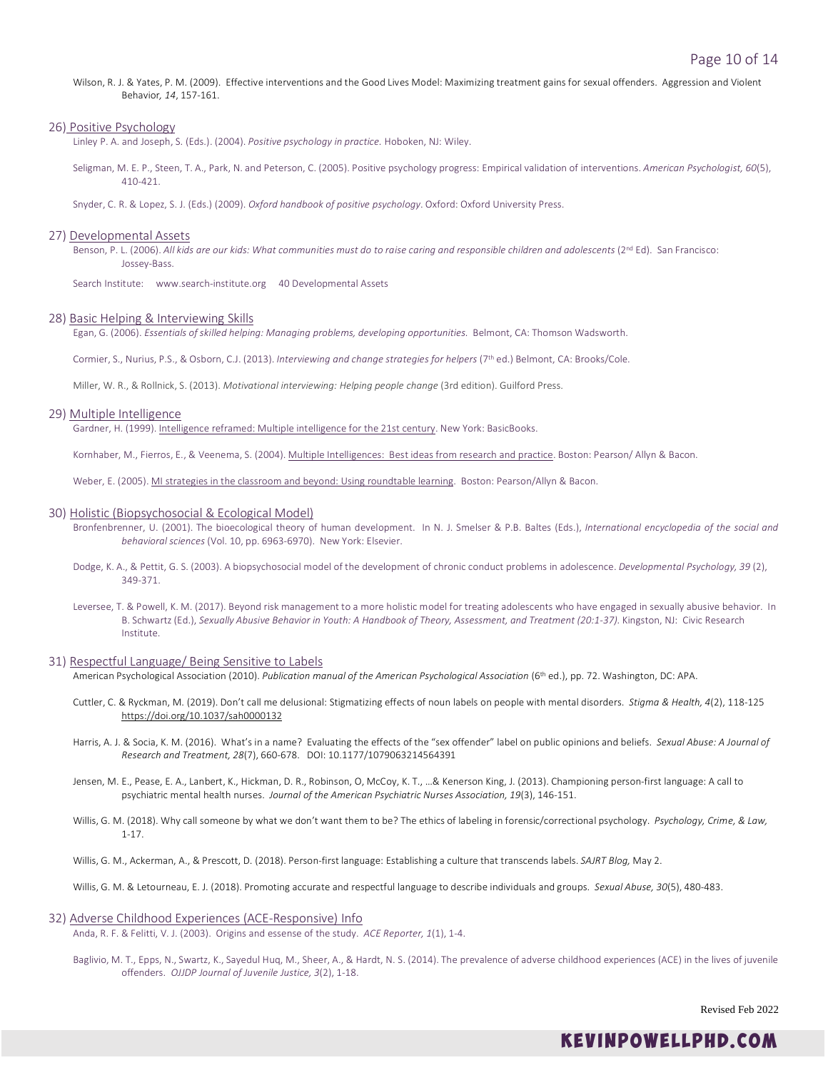Wilson, R. J. & Yates, P. M. (2009). Effective interventions and the Good Lives Model: Maximizing treatment gains for sexual offenders. Aggression and Violent Behavior*, 14*, 157-161.

### 26) Positive Psychology

Linley P. A. and Joseph, S. (Eds.). (2004). *Positive psychology in practice.* Hoboken, NJ: Wiley.

Seligman, M. E. P., Steen, T. A., Park, N. and Peterson, C. (2005). Positive psychology progress: Empirical validation of interventions. *American Psychologist, 60*(5), 410-421.

Snyder, C. R. & Lopez, S. J. (Eds.) (2009). *Oxford handbook of positive psychology*. Oxford: Oxford University Press.

### 27) Developmental Assets

Benson, P. L. (2006). All kids are our kids: What communities must do to raise caring and responsible children and adolescents (2<sup>nd</sup> Ed). San Francisco: Jossey-Bass.

Search Institute: www.search-institute.org 40 Developmental Assets

## 28) Basic Helping & Interviewing Skills

Egan, G. (2006). *Essentials of skilled helping: Managing problems, developing opportunities.* Belmont, CA: Thomson Wadsworth.

Cormier, S., Nurius, P.S., & Osborn, C.J. (2013). *Interviewing and change strategies for helpers* (7th ed.) Belmont, CA: Brooks/Cole.

Miller, W. R., & Rollnick, S. (2013). *Motivational interviewing: Helping people change* (3rd edition). Guilford Press.

# 29) Multiple Intelligence

Gardner, H. (1999). Intelligence reframed: Multiple intelligence for the 21st century. New York: BasicBooks.

Kornhaber, M., Fierros, E., & Veenema, S. (2004). Multiple Intelligences: Best ideas from research and practice. Boston: Pearson/ Allyn & Bacon.

Weber, E. (2005). MI strategies in the classroom and beyond: Using roundtable learning. Boston: Pearson/Allyn & Bacon.

### 30) Holistic (Biopsychosocial & Ecological Model)

- Bronfenbrenner, U. (2001). The bioecological theory of human development. In N. J. Smelser & P.B. Baltes (Eds.), *International encyclopedia of the social and behavioral sciences* (Vol. 10, pp. 6963-6970). New York: Elsevier.
- Dodge, K. A., & Pettit, G. S. (2003). A biopsychosocial model of the development of chronic conduct problems in adolescence. *Developmental Psychology, 39* (2), 349-371.
- Leversee, T. & Powell, K. M. (2017). Beyond risk management to a more holistic model for treating adolescents who have engaged in sexually abusive behavior. In B. Schwartz (Ed.), Sexually Abusive Behavior in Youth: A Handbook of Theory, Assessment, and Treatment (20:1-37). Kingston, NJ: Civic Research Institute.

# 31) Respectful Language/ Being Sensitive to Labels

American Psychological Association (2010). *Publication manual of the American Psychological Association* (6th ed.), pp. 72. Washington, DC: APA.

- Cuttler, C. & Ryckman, M. (2019). Don't call me delusional: Stigmatizing effects of noun labels on people with mental disorders. *Stigma & Health, 4*(2), 118-125 [https://doi.org/10.1037/sah0000132](https://doi.apa.org/doi/10.1037/sah0000132)
- Harris, A. J. & Socia, K. M. (2016). What's in a name? Evaluating the effects of the "sex offender" label on public opinions and beliefs. *Sexual Abuse: A Journal of Research and Treatment, 28*(7), 660-678. DOI: 10.1177/1079063214564391
- Jensen, M. E., Pease, E. A., Lanbert, K., Hickman, D. R., Robinson, O, McCoy, K. T., …& Kenerson King, J. (2013). Championing person-first language: A call to psychiatric mental health nurses. *Journal of the American Psychiatric Nurses Association, 19*(3), 146-151.
- Willis, G. M. (2018). Why call someone by what we don't want them to be? The ethics of labeling in forensic/correctional psychology. *Psychology, Crime, & Law,* 1-17.
- Willis, G. M., Ackerman, A., & Prescott, D. (2018). Person-first language: Establishing a culture that transcends labels. *SAJRT Blog,* May 2.

Willis, G. M. & Letourneau, E. J. (2018). Promoting accurate and respectful language to describe individuals and groups. *Sexual Abuse, 30*(5), 480-483.

- 32) Adverse Childhood Experiences (ACE-Responsive) Info Anda, R. F. & Felitti, V. J. (2003). Origins and essense of the study. *ACE Reporter, 1*(1), 1-4.
	- Baglivio, M. T., Epps, N., Swartz, K., Sayedul Huq, M., Sheer, A., & Hardt, N. S. (2014). The prevalence of adverse childhood experiences (ACE) in the lives of juvenile offenders. *OJJDP Journal of Juvenile Justice, 3*(2), 1-18.

Revised Feb 2022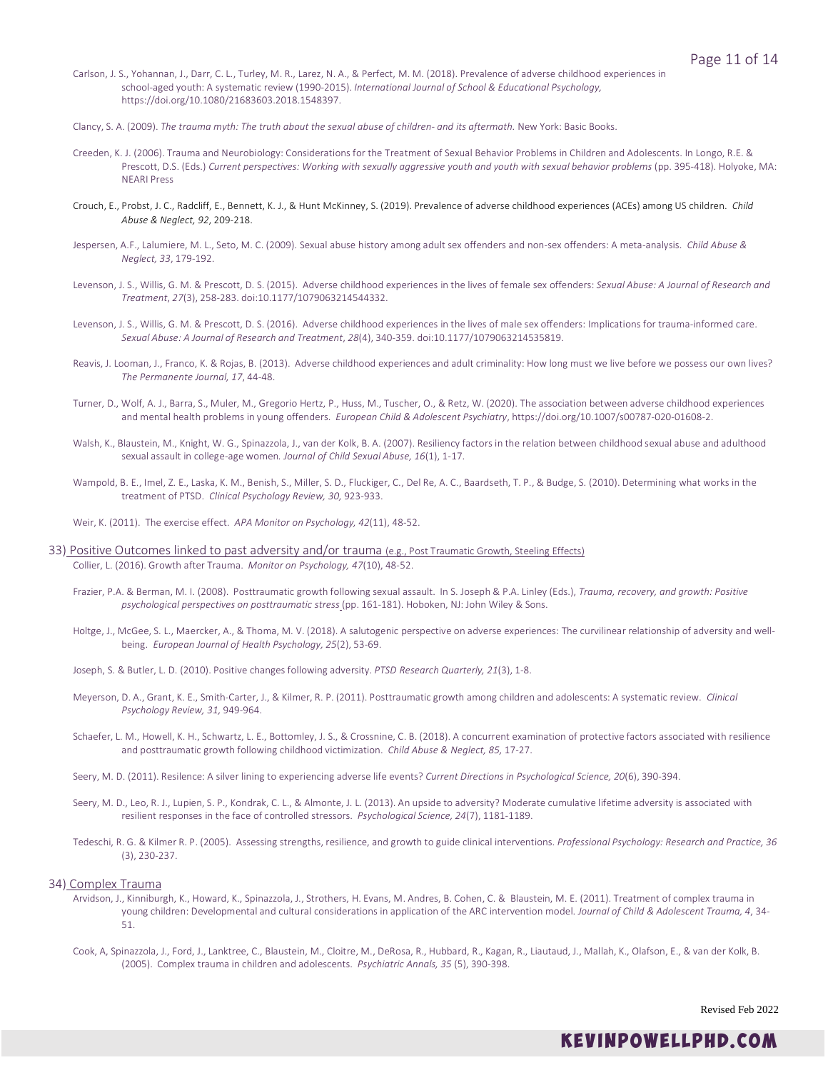- Carlson, J. S., Yohannan, J., Darr, C. L., Turley, M. R., Larez, N. A., & Perfect, M. M. (2018). Prevalence of adverse childhood experiences in school-aged youth: A systematic review (1990-2015). *International Journal of School & Educational Psychology,* https://doi.org/10.1080/21683603.2018.1548397.
- Clancy, S. A. (2009). *The trauma myth: The truth about the sexual abuse of children- and its aftermath.* New York: Basic Books.
- Creeden, K. J. (2006). Trauma and Neurobiology: Considerations for the Treatment of Sexual Behavior Problems in Children and Adolescents. In Longo, R.E. & Prescott, D.S. (Eds.) *Current perspectives: Working with sexually aggressive youth and youth with sexual behavior problems* (pp. 395-418)*.* Holyoke, MA: NEARI Press
- Crouch, E., Probst, J. C., Radcliff, E., Bennett, K. J., & Hunt McKinney, S. (2019). Prevalence of adverse childhood experiences (ACEs) among US children. *Child Abuse & Neglect, 92*, 209-218.
- Jespersen, A.F., Lalumiere, M. L., Seto, M. C. (2009). Sexual abuse history among adult sex offenders and non-sex offenders: A meta-analysis. *Child Abuse & Neglect, 33*, 179-192.
- Levenson, J. S., Willis, G. M. & Prescott, D. S. (2015). Adverse childhood experiences in the lives of female sex offenders: *Sexual Abuse: A Journal of Research and Treatment*, *27*(3), 258-283. doi:10.1177/1079063214544332.
- Levenson, J. S., Willis, G. M. & Prescott, D. S. (2016). Adverse childhood experiences in the lives of male sex offenders: Implications for trauma-informed care. *Sexual Abuse: A Journal of Research and Treatment*, *28*(4), 340-359. doi:10.1177/1079063214535819.
- Reavis, J. Looman, J., Franco, K. & Rojas, B. (2013). Adverse childhood experiences and adult criminality: How long must we live before we possess our own lives? *The Permanente Journal, 17*, 44-48.
- Turner, D., Wolf, A. J., Barra, S., Muler, M., Gregorio Hertz, P., Huss, M., Tuscher, O., & Retz, W. (2020). The association between adverse childhood experiences and mental health problems in young offenders. *European Child & Adolescent Psychiatry*, https://doi.org/10.1007/s00787-020-01608-2.
- Walsh, K., Blaustein, M., Knight, W. G., Spinazzola, J., van der Kolk, B. A. (2007). Resiliency factors in the relation between childhood sexual abuse and adulthood sexual assault in college-age women*. Journal of Child Sexual Abuse, 16*(1), 1-17.
- Wampold, B. E., Imel, Z. E., Laska, K. M., Benish, S., Miller, S. D., Fluckiger, C., Del Re, A. C., Baardseth, T. P., & Budge, S. (2010). Determining what works in the treatment of PTSD. *Clinical Psychology Review, 30,* 923-933.
- Weir, K. (2011). The exercise effect. *APA Monitor on Psychology, 42*(11), 48-52.
- 33) Positive Outcomes linked to past adversity and/or trauma (e.g., Post Traumatic Growth, Steeling Effects) Collier, L. (2016). Growth after Trauma. *Monitor on Psychology, 47*(10), 48-52.
	- Frazier, P.A. & Berman, M. I. (2008). Posttraumatic growth following sexual assault. In S. Joseph & P.A. Linley (Eds.), *Trauma, recovery, and growth: Positive psychological perspectives on posttraumatic stress* (pp. 161-181). Hoboken, NJ: John Wiley & Sons.
	- Holtge, J., McGee, S. L., Maercker, A., & Thoma, M. V. (2018). A salutogenic perspective on adverse experiences: The curvilinear relationship of adversity and wellbeing. *European Journal of Health Psychology, 25*(2), 53-69.
	- Joseph, S. & Butler, L. D. (2010). Positive changes following adversity. *PTSD Research Quarterly, 21*(3), 1-8.
	- Meyerson, D. A., Grant, K. E., Smith-Carter, J., & Kilmer, R. P. (2011). Posttraumatic growth among children and adolescents: A systematic review. *Clinical Psychology Review, 31,* 949-964.
	- Schaefer, L. M., Howell, K. H., Schwartz, L. E., Bottomley, J. S., & Crossnine, C. B. (2018). A concurrent examination of protective factors associated with resilience and posttraumatic growth following childhood victimization. *Child Abuse & Neglect, 85,* 17-27.
	- Seery, M. D. (2011). Resilence: A silver lining to experiencing adverse life events? *Current Directions in Psychological Science, 20*(6), 390-394.
	- Seery, M. D., Leo, R. J., Lupien, S. P., Kondrak, C. L., & Almonte, J. L. (2013). An upside to adversity? Moderate cumulative lifetime adversity is associated with resilient responses in the face of controlled stressors. *Psychological Science, 24*(7), 1181-1189.
	- Tedeschi, R. G. & Kilmer R. P. (2005). Assessing strengths, resilience, and growth to guide clinical interventions. *Professional Psychology: Research and Practice, 36* (3), 230-237.

### 34) Complex Trauma

- Arvidson, J., Kinniburgh, K., Howard, K., Spinazzola, J., Strothers, H. Evans, M. Andres, B. Cohen, C. & Blaustein, M. E. (2011). Treatment of complex trauma in young children: Developmental and cultural considerations in application of the ARC intervention model. *Journal of Child & Adolescent Trauma, 4*, 34- 51.
- Cook, A, Spinazzola, J., Ford, J., Lanktree, C., Blaustein, M., Cloitre, M., DeRosa, R., Hubbard, R., Kagan, R., Liautaud, J., Mallah, K., Olafson, E., & van der Kolk, B. (2005). Complex trauma in children and adolescents. *Psychiatric Annals, 35* (5), 390-398.

Revised Feb 2022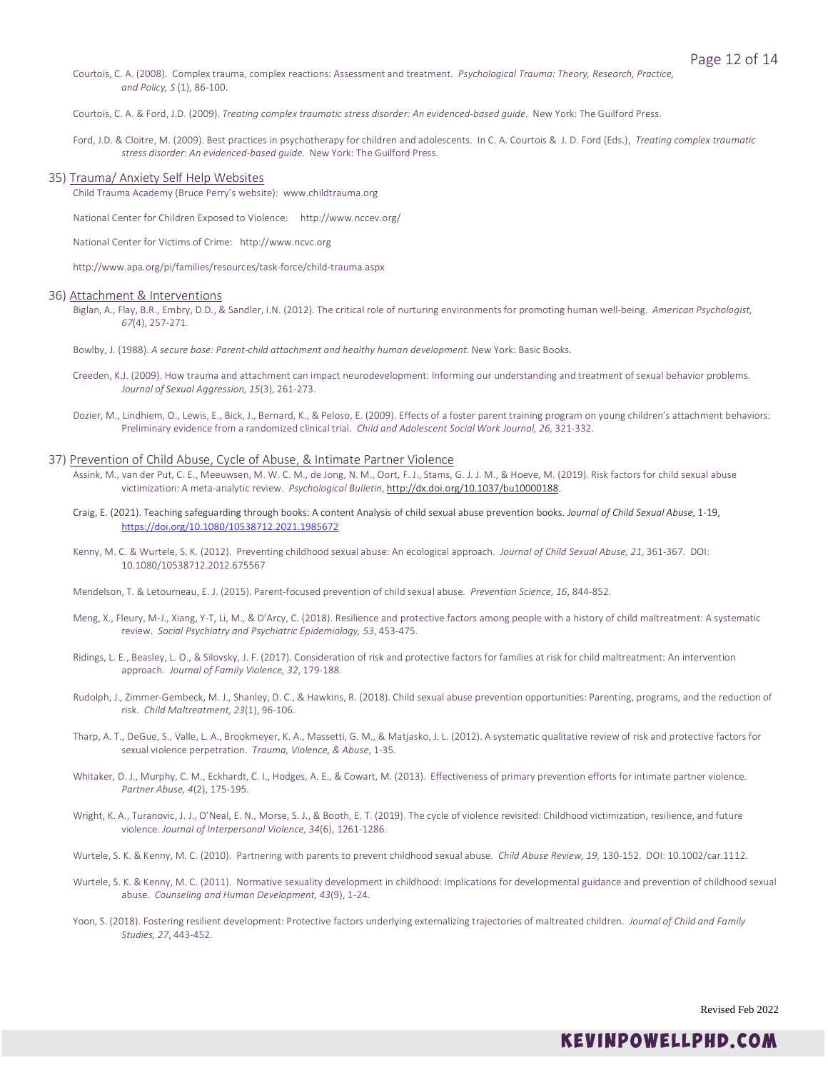Courtois, C. A. (2008). Complex trauma, complex reactions: Assessment and treatment. *Psychological Trauma: Theory, Research, Practice, and Policy, S* (1), 86-100.

Courtois, C. A. & Ford, J.D. (2009). *Treating complex traumatic stress disorder: An evidenced-based guide.* New York: The Guilford Press.

Ford, J.D. & Cloitre, M. (2009). Best practices in psychotherapy for children and adolescents. In C. A. Courtois & J. D. Ford (Eds.), *Treating complex traumatic stress disorder: An evidenced-based guide.* New York: The Guilford Press.

### 35) Trauma/ Anxiety Self Help Websites

Child Trauma Academy (Bruce Perry's website): www.childtrauma.org

National Center for Children Exposed to Violence: http://www.nccev.org/

National Center for Victims of Crime: http://www.ncvc.org

http://www.apa.org/pi/families/resources/task-force/child-trauma.aspx

### 36) Attachment & Interventions

Biglan, A., Flay, B.R., Embry, D.D., & Sandler, I.N. (2012). The critical role of nurturing environments for promoting human well-being. *American Psychologist, 67*(4), 257-271.

Bowlby, J. (1988). *A secure base: Parent-child attachment and healthy human development.* New York: Basic Books.

- Creeden, K.J. (2009). How trauma and attachment can impact neurodevelopment: Informing our understanding and treatment of sexual behavior problems. *Journal of Sexual Aggression, 15*(3), 261-273.
- Dozier, M., Lindhiem, O., Lewis, E., Bick, J., Bernard, K., & Peloso, E. (2009). Effects of a foster parent training program on young children's attachment behaviors: Preliminary evidence from a randomized clinical trial. *Child and Adolescent Social Work Journal, 26,* 321-332.

### 37) Prevention of Child Abuse, Cycle of Abuse, & Intimate Partner Violence

- Assink, M., van der Put, C. E., Meeuwsen, M. W. C. M., de Jong, N. M., Oort, F. J., Stams, G. J. J. M., & Hoeve, M. (2019). Risk factors for child sexual abuse victimization: A meta-analytic review. *Psychological Bulletin*, [http://dx.doi.org/10.1037/bu10000188.](http://dx.doi.org/10.1037/bu10000188)
- Craig, E. (2021). Teaching safeguarding through books: A content Analysis of child sexual abuse prevention books. *Journal of Child Sexual Abuse,* 1-19, <https://doi.org/10.1080/10538712.2021.1985672>
- Kenny, M. C. & Wurtele, S. K. (2012). Preventing childhood sexual abuse: An ecological approach. *Journal of Child Sexual Abuse, 21*, 361-367. DOI: 10.1080/10538712.2012.675567

Mendelson, T. & Letourneau, E. J. (2015). Parent-focused prevention of child sexual abuse*. Prevention Science, 16*, 844-852.

- Meng, X., Fleury, M-J., Xiang, Y-T, Li, M., & D'Arcy, C. (2018). Resilience and protective factors among people with a history of child maltreatment: A systematic review. *Social Psychiatry and Psychiatric Epidemiology, 53*, 453-475.
- Ridings, L. E., Beasley, L. O., & Silovsky, J. F. (2017). Consideration of risk and protective factors for families at risk for child maltreatment: An intervention approach*. Journal of Family Violence, 32*, 179-188.
- Rudolph, J., Zimmer-Gembeck, M. J., Shanley, D. C., & Hawkins, R. (2018). Child sexual abuse prevention opportunities: Parenting, programs, and the reduction of risk. *Child Maltreatment, 23*(1), 96-106.
- Tharp, A. T., DeGue, S., Valle, L. A., Brookmeyer, K. A., Massetti, G. M., & Matjasko, J. L. (2012). A systematic qualitative review of risk and protective factors for sexual violence perpetration. *Trauma, Violence, & Abuse*, 1-35.
- Whitaker, D. J., Murphy, C. M., Eckhardt, C. I., Hodges, A. E., & Cowart, M. (2013). Effectiveness of primary prevention efforts for intimate partner violence. *Partner Abuse, 4*(2), 175-195.
- Wright, K. A., Turanovic, J. J., O'Neal, E. N., Morse, S. J., & Booth, E. T. (2019). The cycle of violence revisited: Childhood victimization, resilience, and future violence. *Journal of Interpersonal Violence, 34*(6), 1261-1286.
- Wurtele, S. K. & Kenny, M. C. (2010). Partnering with parents to prevent childhood sexual abuse. *Child Abuse Review, 19,* 130-152. DOI: 10.1002/car.1112.
- Wurtele, S. K. & Kenny, M. C. (2011). Normative sexuality development in childhood: Implications for developmental guidance and prevention of childhood sexual abuse. *Counseling and Human Development, 43*(9), 1-24.
- Yoon, S. (2018). Fostering resilient development: Protective factors underlying externalizing trajectories of maltreated children. *Journal of Child and Family Studies, 27*, 443-452.

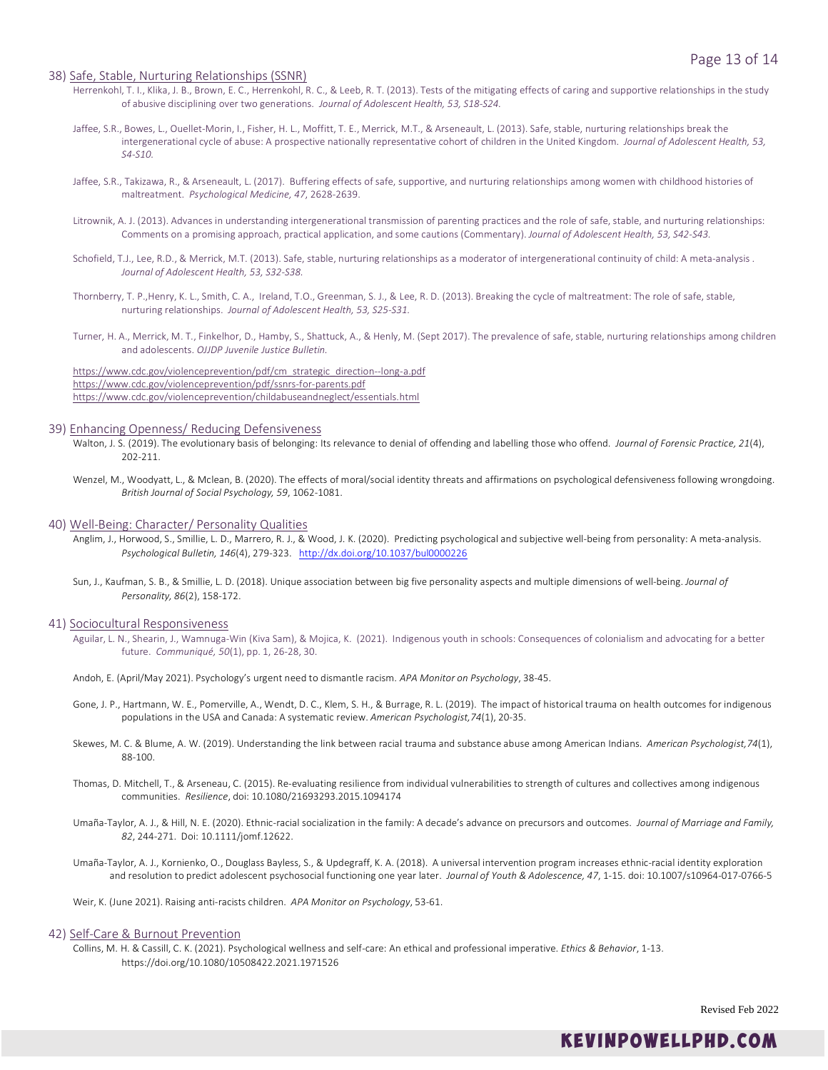### 38) Safe, Stable, Nurturing Relationships (SSNR)

- Herrenkohl, T. I., Klika, J. B., Brown, E. C., Herrenkohl, R. C., & Leeb, R. T. (2013). Tests of the mitigating effects of caring and supportive relationships in the study of abusive disciplining over two generations. *Journal of Adolescent Health, 53, S18-S24.*
- Jaffee, S.R., Bowes, L., Ouellet-Morin, I., Fisher, H. L., Moffitt, T. E., Merrick, M.T., & Arseneault, L. (2013). Safe, stable, nurturing relationships break the intergenerational cycle of abuse: A prospective nationally representative cohort of children in the United Kingdom. *Journal of Adolescent Health, 53, S4-S10.*
- Jaffee, S.R., Takizawa, R., & Arseneault, L. (2017). Buffering effects of safe, supportive, and nurturing relationships among women with childhood histories of maltreatment. *Psychological Medicine, 47*, 2628-2639.
- Litrownik, A. J. (2013). Advances in understanding intergenerational transmission of parenting practices and the role of safe, stable, and nurturing relationships: Comments on a promising approach, practical application, and some cautions (Commentary). *Journal of Adolescent Health, 53, S42-S43.*
- Schofield, T.J., Lee, R.D., & Merrick, M.T. (2013). Safe, stable, nurturing relationships as a moderator of intergenerational continuity of child: A meta-analysis . *Journal of Adolescent Health, 53, S32-S38.*
- Thornberry, T. P.,Henry, K. L., Smith, C. A., Ireland, T.O., Greenman, S. J., & Lee, R. D. (2013). Breaking the cycle of maltreatment: The role of safe, stable, nurturing relationships. *Journal of Adolescent Health, 53, S25-S31.*
- Turner, H. A., Merrick, M. T., Finkelhor, D., Hamby, S., Shattuck, A., & Henly, M. (Sept 2017). The prevalence of safe, stable, nurturing relationships among children and adolescents. *OJJDP Juvenile Justice Bulletin.*

[https://www.cdc.gov/violenceprevention/pdf/cm\\_strategic\\_direction--long-a.pdf](https://www.cdc.gov/violenceprevention/pdf/cm_strategic_direction--long-a.pdf) <https://www.cdc.gov/violenceprevention/pdf/ssnrs-for-parents.pdf> <https://www.cdc.gov/violenceprevention/childabuseandneglect/essentials.html>

# 39) Enhancing Openness/ Reducing Defensiveness

- Walton, J. S. (2019). The evolutionary basis of belonging: Its relevance to denial of offending and labelling those who offend. *Journal of Forensic Practice, 21*(4), 202-211.
- Wenzel, M., Woodyatt, L., & Mclean, B. (2020). The effects of moral/social identity threats and affirmations on psychological defensiveness following wrongdoing. *British Journal of Social Psychology, 59*, 1062-1081.

#### 40) Well-Being: Character/ Personality Qualities

- Anglim, J., Horwood, S., Smillie, L. D., Marrero, R. J., & Wood, J. K. (2020). Predicting psychological and subjective well-being from personality: A meta-analysis. *Psychological Bulletin, 146*(4), 279-323. <http://dx.doi.org/10.1037/bul0000226>
- Sun, J., Kaufman, S. B., & Smillie, L. D. (2018). Unique association between big five personality aspects and multiple dimensions of well-being. *Journal of Personality, 86*(2), 158-172.

# 41) Sociocultural Responsiveness

- Aguilar, L. N., Shearin, J., Wamnuga-Win (Kiva Sam), & Mojica, K. (2021). Indigenous youth in schools: Consequences of colonialism and advocating for a better future. *Communiqué, 50*(1), pp. 1, 26-28, 30.
- Andoh, E. (April/May 2021). Psychology's urgent need to dismantle racism. *APA Monitor on Psychology*, 38-45.
- Gone, J. P., Hartmann, W. E., Pomerville, A., Wendt, D. C., Klem, S. H., & Burrage, R. L. (2019). The impact of historical trauma on health outcomes for indigenous populations in the USA and Canada: A systematic review. *American Psychologist,74*(1), 20-35.
- Skewes, M. C. & Blume, A. W. (2019). Understanding the link between racial trauma and substance abuse among American Indians. *American Psychologist,74*(1), 88-100.
- Thomas, D. Mitchell, T., & Arseneau, C. (2015). Re-evaluating resilience from individual vulnerabilities to strength of cultures and collectives among indigenous communities. *Resilience*, doi: 10.1080/21693293.2015.1094174
- Umaña-Taylor, A. J., & Hill, N. E. (2020). Ethnic-racial socialization in the family: A decade's advance on precursors and outcomes. *Journal of Marriage and Family, 82*, 244-271. Doi: 10.1111/jomf.12622.
- Umaña-Taylor, A. J., Kornienko, O., Douglass Bayless, S., & Updegraff, K. A. (2018). A universal intervention program increases ethnic-racial identity exploration and resolution to predict adolescent psychosocial functioning one year later. *Journal of Youth & Adolescence, 47*, 1-15. doi: 10.1007/s10964-017-0766-5

Weir, K. (June 2021). Raising anti-racists children. *APA Monitor on Psychology*, 53-61.

### 42) Self-Care & Burnout Prevention

Collins, M. H. & Cassill, C. K. (2021). Psychological wellness and self-care: An ethical and professional imperative. *Ethics & Behavior*, 1-13. https://doi.org/10.1080/10508422.2021.1971526

Revised Feb 2022